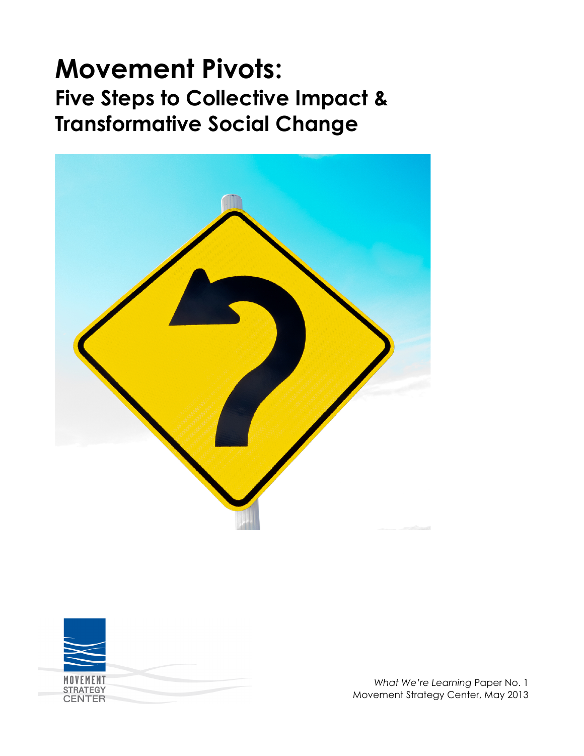# **Movement Pivots: Five Steps to Collective Impact & Transformative Social Change**





*What We're Learning* Paper No. 1 Movement Strategy Center, May 2013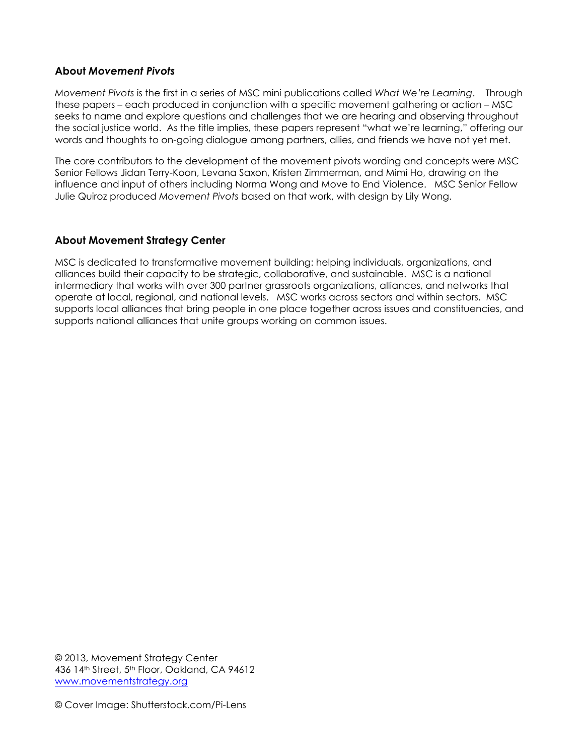#### **About** *Movement Pivots*

*Movement Pivots* is the first in a series of MSC mini publications called *What We're Learning*. Through these papers – each produced in conjunction with a specific movement gathering or action – MSC seeks to name and explore questions and challenges that we are hearing and observing throughout the social justice world. As the title implies, these papers represent "what we're learning," offering our words and thoughts to on-going dialogue among partners, allies, and friends we have not yet met.

The core contributors to the development of the movement pivots wording and concepts were MSC Senior Fellows Jidan Terry-Koon, Levana Saxon, Kristen Zimmerman, and Mimi Ho, drawing on the influence and input of others including Norma Wong and Move to End Violence. MSC Senior Fellow Julie Quiroz produced *Movement Pivots* based on that work, with design by Lily Wong.

#### **About Movement Strategy Center**

MSC is dedicated to transformative movement building: helping individuals, organizations, and alliances build their capacity to be strategic, collaborative, and sustainable. MSC is a national intermediary that works with over 300 partner grassroots organizations, alliances, and networks that operate at local, regional, and national levels. MSC works across sectors and within sectors. MSC supports local alliances that bring people in one place together across issues and constituencies, and supports national alliances that unite groups working on common issues.

© 2013, Movement Strategy Center 436 14th Street, 5th Floor, Oakland, CA 94612 www.movementstrategy.org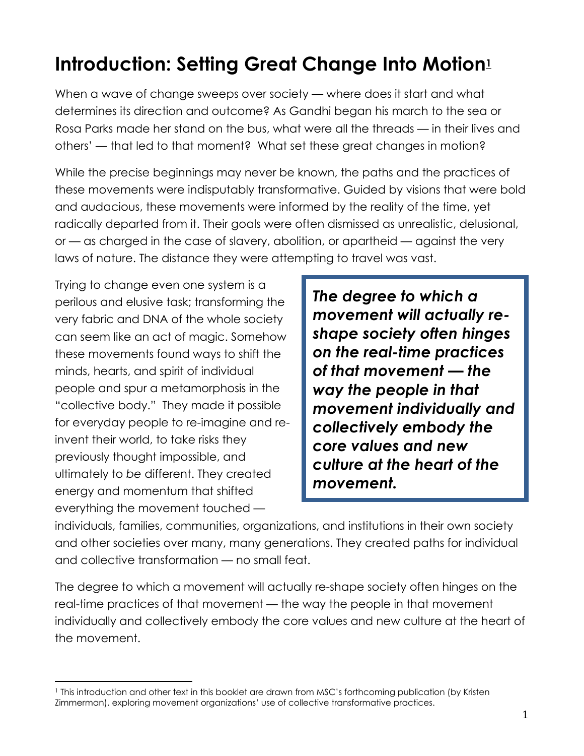## **Introduction: Setting Great Change Into Motion1**

When a wave of change sweeps over society — where does it start and what determines its direction and outcome? As Gandhi began his march to the sea or Rosa Parks made her stand on the bus, what were all the threads — in their lives and others' — that led to that moment? What set these great changes in motion?

While the precise beginnings may never be known, the paths and the practices of these movements were indisputably transformative. Guided by visions that were bold and audacious, these movements were informed by the reality of the time, yet radically departed from it. Their goals were often dismissed as unrealistic, delusional, or — as charged in the case of slavery, abolition, or apartheid — against the very laws of nature. The distance they were attempting to travel was vast.

Trying to change even one system is a perilous and elusive task; transforming the very fabric and DNA of the whole society can seem like an act of magic. Somehow these movements found ways to shift the minds, hearts, and spirit of individual people and spur a metamorphosis in the "collective body." They made it possible for everyday people to re-imagine and reinvent their world, to take risks they previously thought impossible, and ultimately to *be* different. They created energy and momentum that shifted everything the movement touched —

*The degree to which a movement will actually reshape society often hinges on the real-time practices of that movement* **—** *the way the people in that movement individually and collectively embody the core values and new culture at the heart of the movement.*

individuals, families, communities, organizations, and institutions in their own society and other societies over many, many generations. They created paths for individual and collective transformation — no small feat.

The degree to which a movement will actually re-shape society often hinges on the real-time practices of that movement — the way the people in that movement individually and collectively embody the core values and new culture at the heart of the movement.

<sup>&</sup>quot;"""""""""""""""""""""""""""""""""""""""""""""""""""""" 1 This introduction and other text in this booklet are drawn from MSC's forthcoming publication (by Kristen Zimmerman), exploring movement organizations' use of collective transformative practices.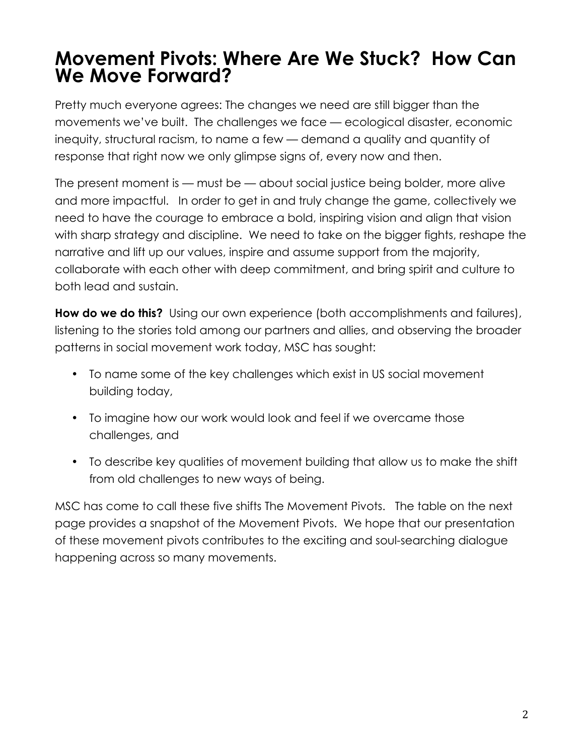### **Movement Pivots: Where Are We Stuck? How Can We Move Forward?**

Pretty much everyone agrees: The changes we need are still bigger than the movements we've built. The challenges we face — ecological disaster, economic inequity, structural racism, to name a few — demand a quality and quantity of response that right now we only glimpse signs of, every now and then.

The present moment is — must be — about social justice being bolder, more alive and more impactful. In order to get in and truly change the game, collectively we need to have the courage to embrace a bold, inspiring vision and align that vision with sharp strategy and discipline. We need to take on the bigger fights, reshape the narrative and lift up our values, inspire and assume support from the majority, collaborate with each other with deep commitment, and bring spirit and culture to both lead and sustain.

**How do we do this?** Using our own experience (both accomplishments and failures), listening to the stories told among our partners and allies, and observing the broader patterns in social movement work today, MSC has sought:

- To name some of the key challenges which exist in US social movement building today,
- To imagine how our work would look and feel if we overcame those challenges, and
- To describe key qualities of movement building that allow us to make the shift from old challenges to new ways of being.

MSC has come to call these five shifts The Movement Pivots. The table on the next page provides a snapshot of the Movement Pivots. We hope that our presentation of these movement pivots contributes to the exciting and soul-searching dialogue happening across so many movements.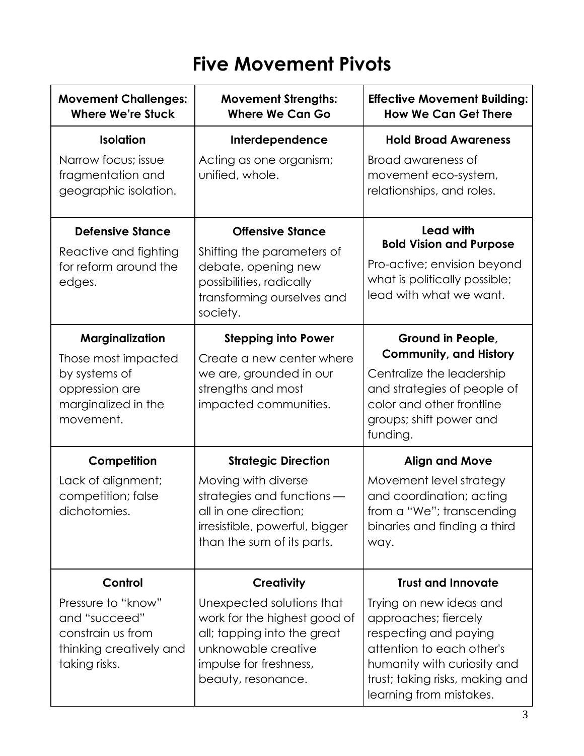## **Five Movement Pivots**

| <b>Movement Challenges:</b><br><b>Where We're Stuck</b>                                              | <b>Movement Strengths:</b><br><b>Where We Can Go</b>                                                                                                            | <b>Effective Movement Building:</b><br><b>How We Can Get There</b>                                                                                                                                 |
|------------------------------------------------------------------------------------------------------|-----------------------------------------------------------------------------------------------------------------------------------------------------------------|----------------------------------------------------------------------------------------------------------------------------------------------------------------------------------------------------|
| <b>Isolation</b>                                                                                     | Interdependence                                                                                                                                                 | <b>Hold Broad Awareness</b>                                                                                                                                                                        |
| Narrow focus; issue<br>fragmentation and<br>geographic isolation.                                    | Acting as one organism;<br>unified, whole.                                                                                                                      | Broad awareness of<br>movement eco-system,<br>relationships, and roles.                                                                                                                            |
| <b>Defensive Stance</b>                                                                              | <b>Offensive Stance</b>                                                                                                                                         | <b>Lead with</b><br><b>Bold Vision and Purpose</b><br>Pro-active; envision beyond<br>what is politically possible;<br>lead with what we want.                                                      |
| Reactive and fighting<br>for reform around the<br>edges.                                             | Shifting the parameters of<br>debate, opening new<br>possibilities, radically<br>transforming ourselves and<br>society.                                         |                                                                                                                                                                                                    |
| Marginalization                                                                                      | <b>Stepping into Power</b>                                                                                                                                      | Ground in People,                                                                                                                                                                                  |
| Those most impacted<br>by systems of<br>oppression are<br>marginalized in the<br>movement.           | Create a new center where<br>we are, grounded in our<br>strengths and most<br>impacted communities.                                                             | <b>Community, and History</b><br>Centralize the leadership<br>and strategies of people of<br>color and other frontline<br>groups; shift power and<br>funding.                                      |
| Competition                                                                                          | <b>Strategic Direction</b>                                                                                                                                      | <b>Align and Move</b>                                                                                                                                                                              |
| Lack of alignment;<br>competition; false<br>dichotomies.                                             | Moving with diverse<br>strategies and functions -<br>all in one direction;<br>irresistible, powerful, bigger<br>than the sum of its parts.                      | Movement level strategy<br>and coordination; acting<br>from a "We"; transcending<br>binaries and finding a third<br>way.                                                                           |
| Control                                                                                              | <b>Creativity</b>                                                                                                                                               | <b>Trust and Innovate</b>                                                                                                                                                                          |
| Pressure to "know"<br>and "succeed"<br>constrain us from<br>thinking creatively and<br>taking risks. | Unexpected solutions that<br>work for the highest good of<br>all; tapping into the great<br>unknowable creative<br>impulse for freshness,<br>beauty, resonance. | Trying on new ideas and<br>approaches; fiercely<br>respecting and paying<br>attention to each other's<br>humanity with curiosity and<br>trust; taking risks, making and<br>learning from mistakes. |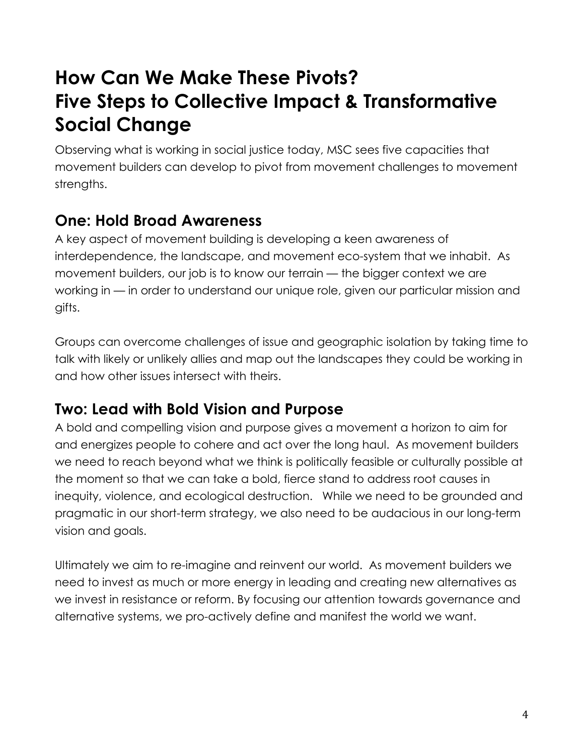### **How Can We Make These Pivots? Five Steps to Collective Impact & Transformative Social Change**

Observing what is working in social justice today, MSC sees five capacities that movement builders can develop to pivot from movement challenges to movement strengths.

### **One: Hold Broad Awareness**

A key aspect of movement building is developing a keen awareness of interdependence, the landscape, and movement eco-system that we inhabit. As movement builders, our job is to know our terrain — the bigger context we are working in — in order to understand our unique role, given our particular mission and gifts.

Groups can overcome challenges of issue and geographic isolation by taking time to talk with likely or unlikely allies and map out the landscapes they could be working in and how other issues intersect with theirs.

### **Two: Lead with Bold Vision and Purpose**

A bold and compelling vision and purpose gives a movement a horizon to aim for and energizes people to cohere and act over the long haul. As movement builders we need to reach beyond what we think is politically feasible or culturally possible at the moment so that we can take a bold, fierce stand to address root causes in inequity, violence, and ecological destruction. While we need to be grounded and pragmatic in our short-term strategy, we also need to be audacious in our long-term vision and goals.

Ultimately we aim to re-imagine and reinvent our world.As movement builders we need to invest as much or more energy in leading and creating new alternatives as we invest in resistance or reform. By focusing our attention towards governance and alternative systems, we pro-actively define and manifest the world we want.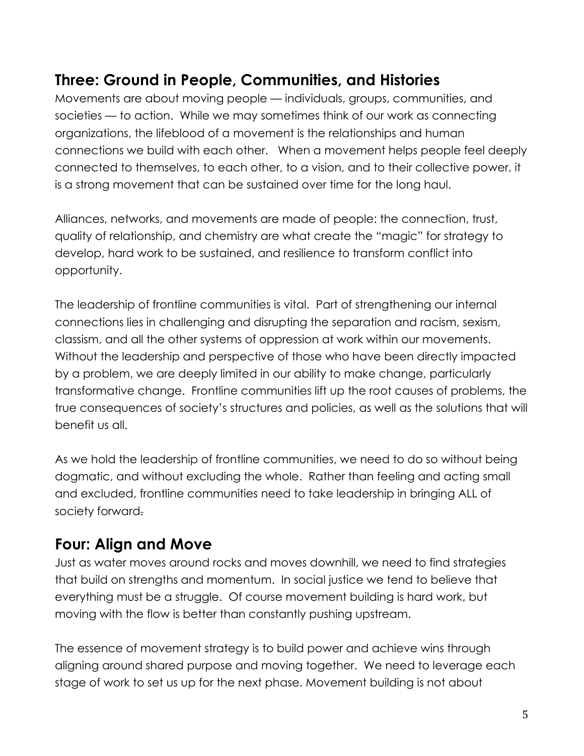### **Three: Ground in People, Communities, and Histories**

Movements are about moving people — individuals, groups, communities, and societies — to action. While we may sometimes think of our work as connecting organizations, the lifeblood of a movement is the relationships and human connections we build with each other. When a movement helps people feel deeply connected to themselves, to each other, to a vision, and to their collective power, it is a strong movement that can be sustained over time for the long haul.

Alliances, networks, and movements are made of people: the connection, trust, quality of relationship, and chemistry are what create the "magic" for strategy to develop, hard work to be sustained, and resilience to transform conflict into opportunity.

The leadership of frontline communities is vital.Part of strengthening our internal connections lies in challenging and disrupting the separation and racism, sexism, classism, and all the other systems of oppression at work within our movements. Without the leadership and perspective of those who have been directly impacted by a problem, we are deeply limited in our ability to make change, particularly transformative change. Frontline communities lift up the root causes of problems, the true consequences of society's structures and policies, as well as the solutions that will benefit us all.

As we hold the leadership of frontline communities, we need to do so without being dogmatic, and without excluding the whole. Rather than feeling and acting small and excluded, frontline communities need to take leadership in bringing ALL of society forward.

#### **Four: Align and Move**

Just as water moves around rocks and moves downhill, we need to find strategies that build on strengths and momentum. In social justice we tend to believe that everything must be a struggle. Of course movement building is hard work, but moving with the flow is better than constantly pushing upstream.

The essence of movement strategy is to build power and achieve wins through aligning around shared purpose and moving together. We need to leverage each stage of work to set us up for the next phase. Movement building is not about